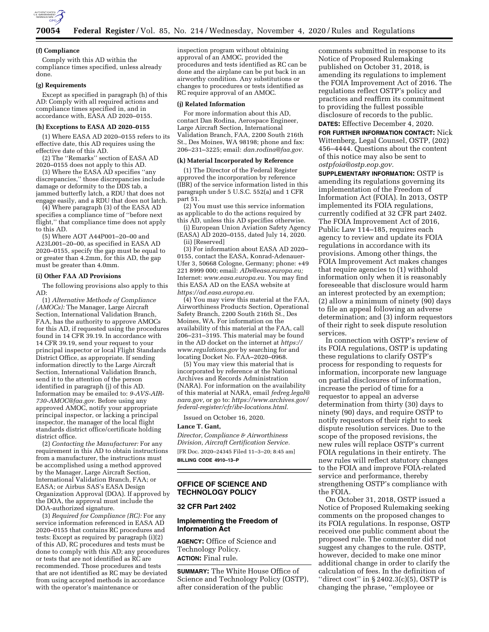

#### **(f) Compliance**

Comply with this AD within the compliance times specified, unless already done.

#### **(g) Requirements**

Except as specified in paragraph (h) of this AD: Comply with all required actions and compliance times specified in, and in accordance with, EASA AD 2020–0155.

#### **(h) Exceptions to EASA AD 2020–0155**

(1) Where EASA AD 2020–0155 refers to its effective date, this AD requires using the effective date of this AD.

(2) The ''Remarks'' section of EASA AD 2020–0155 does not apply to this AD.

(3) Where the EASA AD specifies ''any discrepancies,'' those discrepancies include damage or deformity to the DDS tab, a jammed butterfly latch, a RDU that does not engage easily, and a RDU that does not latch.

(4) Where paragraph (3) of the EASA AD specifies a compliance time of ''before next flight,'' that compliance time does not apply to this AD.

(5) Where AOT A44P001–20–00 and A23L001–20–00, as specified in EASA AD 2020–0155, specify the gap must be equal to or greater than 4.2mm, for this AD, the gap must be greater than 4.0mm.

# **(i) Other FAA AD Provisions**

The following provisions also apply to this AD:

(1) *Alternative Methods of Compliance (AMOCs):* The Manager, Large Aircraft Section, International Validation Branch, FAA, has the authority to approve AMOCs for this AD, if requested using the procedures found in 14 CFR 39.19. In accordance with 14 CFR 39.19, send your request to your principal inspector or local Flight Standards District Office, as appropriate. If sending information directly to the Large Aircraft Section, International Validation Branch, send it to the attention of the person identified in paragraph (j) of this AD. Information may be emailed to: *[9-AVS-AIR-](mailto:9-AVS-AIR-730-AMOC@faa.gov)[730-AMOC@faa.gov.](mailto:9-AVS-AIR-730-AMOC@faa.gov)* Before using any approved AMOC, notify your appropriate principal inspector, or lacking a principal inspector, the manager of the local flight standards district office/certificate holding district office.

(2) *Contacting the Manufacturer:* For any requirement in this AD to obtain instructions from a manufacturer, the instructions must be accomplished using a method approved by the Manager, Large Aircraft Section, International Validation Branch, FAA; or EASA; or Airbus SAS's EASA Design Organization Approval (DOA). If approved by the DOA, the approval must include the DOA-authorized signature.

(3) *Required for Compliance (RC):* For any service information referenced in EASA AD 2020–0155 that contains RC procedures and tests: Except as required by paragraph (i)(2) of this AD, RC procedures and tests must be done to comply with this AD; any procedures or tests that are not identified as RC are recommended. Those procedures and tests that are not identified as RC may be deviated from using accepted methods in accordance with the operator's maintenance or

inspection program without obtaining approval of an AMOC, provided the procedures and tests identified as RC can be done and the airplane can be put back in an airworthy condition. Any substitutions or changes to procedures or tests identified as RC require approval of an AMOC.

#### **(j) Related Information**

For more information about this AD, contact Dan Rodina, Aerospace Engineer, Large Aircraft Section, International Validation Branch, FAA, 2200 South 216th St., Des Moines, WA 98198; phone and fax: 206–231–3225; email: *[dan.rodina@faa.gov.](mailto:dan.rodina@faa.gov)* 

#### **(k) Material Incorporated by Reference**

(1) The Director of the Federal Register approved the incorporation by reference (IBR) of the service information listed in this paragraph under 5 U.S.C. 552(a) and 1 CFR part 51.

(2) You must use this service information as applicable to do the actions required by this AD, unless this AD specifies otherwise.

(i) European Union Aviation Safety Agency (EASA) AD 2020–0155, dated July 14, 2020. (ii) [Reserved]

(3) For information about EASA AD 2020– 0155, contact the EASA, Konrad-Adenauer-Ufer 3, 50668 Cologne, Germany; phone: +49 221 8999 000; email: *[ADs@easa.europa.eu;](mailto:ADs@easa.europa.eu)*  Internet: *[www.easa.europa.eu.](http://www.easa.europa.eu)* You may find this EASA AD on the EASA website at *[https://ad.easa.europa.eu.](https://ad.easa.europa.eu)* 

(4) You may view this material at the FAA, Airworthiness Products Section, Operational Safety Branch, 2200 South 216th St., Des Moines, WA. For information on the availability of this material at the FAA, call 206–231–3195. This material may be found in the AD docket on the internet at *[https://](https://www.regulations.gov)  [www.regulations.gov](https://www.regulations.gov)* by searching for and locating Docket No. FAA–2020–0968.

(5) You may view this material that is incorporated by reference at the National Archives and Records Administration (NARA). For information on the availability of this material at NARA, email *[fedreg.legal@](mailto:fedreg.legal@nara.gov) [nara.gov,](mailto:fedreg.legal@nara.gov)* or go to: *[https://www.archives.gov/](https://www.archives.gov/federal-register/cfr/ibr-locations.html) [federal-register/cfr/ibr-locations.html.](https://www.archives.gov/federal-register/cfr/ibr-locations.html)* 

Issued on October 16, 2020.

## **Lance T. Gant,**

*Director, Compliance & Airworthiness Division, Aircraft Certification Service.*  [FR Doc. 2020–24345 Filed 11–3–20; 8:45 am] **BILLING CODE 4910–13–P** 

## **OFFICE OF SCIENCE AND TECHNOLOGY POLICY**

#### **32 CFR Part 2402**

# **Implementing the Freedom of Information Act**

**AGENCY:** Office of Science and Technology Policy. **ACTION:** Final rule.

**SUMMARY:** The White House Office of Science and Technology Policy (OSTP), after consideration of the public

comments submitted in response to its Notice of Proposed Rulemaking published on October 31, 2018, is amending its regulations to implement the FOIA Improvement Act of 2016. The regulations reflect OSTP's policy and practices and reaffirm its commitment to providing the fullest possible disclosure of records to the public.

**DATES:** Effective December 4, 2020.

**FOR FURTHER INFORMATION CONTACT:** Nick Wittenberg, Legal Counsel, OSTP, (202) 456–4444. Questions about the content of this notice may also be sent to *[ostpfoia@ostp.eop.gov.](mailto:ostpfoia@ostp.eop.gov)* 

**SUPPLEMENTARY INFORMATION: OSTP is** amending its regulations governing its implementation of the Freedom of Information Act (FOIA). In 2013, OSTP implemented its FOIA regulations, currently codified at 32 CFR part 2402. The FOIA Improvement Act of 2016, Public Law 114–185, requires each agency to review and update its FOIA regulations in accordance with its provisions. Among other things, the FOIA Improvement Act makes changes that require agencies to (1) withhold information only when it is reasonably foreseeable that disclosure would harm an interest protected by an exemption; (2) allow a minimum of ninety (90) days to file an appeal following an adverse determination; and (3) inform requestors of their right to seek dispute resolution services.

In connection with OSTP's review of its FOIA regulations, OSTP is updating these regulations to clarify OSTP's process for responding to requests for information, incorporate new language on partial disclosures of information, increase the period of time for a requestor to appeal an adverse determination from thirty (30) days to ninety (90) days, and require OSTP to notify requestors of their right to seek dispute resolution services. Due to the scope of the proposed revisions, the new rules will replace OSTP's current FOIA regulations in their entirety. The new rules will reflect statutory changes to the FOIA and improve FOIA-related service and performance, thereby strengthening OSTP's compliance with the FOIA.

On October 31, 2018, OSTP issued a Notice of Proposed Rulemaking seeking comments on the proposed changes to its FOIA regulations. In response, OSTP received one public comment about the proposed rule. The commenter did not suggest any changes to the rule. OSTP, however, decided to make one minor additional change in order to clarify the calculation of fees. In the definition of "direct cost" in  $\S 2402.3(c)(5)$ , OSTP is changing the phrase, ''employee or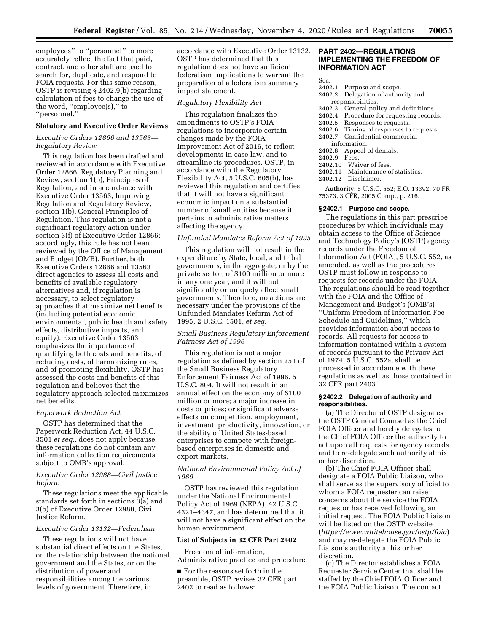employees'' to ''personnel'' to more accurately reflect the fact that paid, contract, and other staff are used to search for, duplicate, and respond to FOIA requests. For this same reason, OSTP is revising § 2402.9(b) regarding calculation of fees to change the use of the word, ''employee(s),'' to ''personnel.''

## **Statutory and Executive Order Reviews**

# *Executive Orders 12866 and 13563— Regulatory Review*

This regulation has been drafted and reviewed in accordance with Executive Order 12866, Regulatory Planning and Review, section 1(b), Principles of Regulation, and in accordance with Executive Order 13563, Improving Regulation and Regulatory Review, section 1(b), General Principles of Regulation. This regulation is not a significant regulatory action under section 3(f) of Executive Order 12866; accordingly, this rule has not been reviewed by the Office of Management and Budget (OMB). Further, both Executive Orders 12866 and 13563 direct agencies to assess all costs and benefits of available regulatory alternatives and, if regulation is necessary, to select regulatory approaches that maximize net benefits (including potential economic, environmental, public health and safety effects, distributive impacts, and equity). Executive Order 13563 emphasizes the importance of quantifying both costs and benefits, of reducing costs, of harmonizing rules, and of promoting flexibility. OSTP has assessed the costs and benefits of this regulation and believes that the regulatory approach selected maximizes net benefits.

# *Paperwork Reduction Act*

OSTP has determined that the Paperwork Reduction Act, 44 U.S.C. 3501 *et seq.,* does not apply because these regulations do not contain any information collection requirements subject to OMB's approval.

# *Executive Order 12988—Civil Justice Reform*

These regulations meet the applicable standards set forth in sections 3(a) and 3(b) of Executive Order 12988, Civil Justice Reform.

## *Executive Order 13132—Federalism*

These regulations will not have substantial direct effects on the States, on the relationship between the national government and the States, or on the distribution of power and responsibilities among the various levels of government. Therefore, in

accordance with Executive Order 13132, OSTP has determined that this regulation does not have sufficient federalism implications to warrant the preparation of a federalism summary impact statement.

#### *Regulatory Flexibility Act*

This regulation finalizes the amendments to OSTP's FOIA regulations to incorporate certain changes made by the FOIA Improvement Act of 2016, to reflect developments in case law, and to streamline its procedures. OSTP, in accordance with the Regulatory Flexibility Act, 5 U.S.C. 605(b), has reviewed this regulation and certifies that it will not have a significant economic impact on a substantial number of small entities because it pertains to administrative matters affecting the agency.

## *Unfunded Mandates Reform Act of 1995*

This regulation will not result in the expenditure by State, local, and tribal governments, in the aggregate, or by the private sector, of \$100 million or more in any one year, and it will not significantly or uniquely affect small governments. Therefore, no actions are necessary under the provisions of the Unfunded Mandates Reform Act of 1995, 2 U.S.C. 1501, *et seq.* 

# *Small Business Regulatory Enforcement Fairness Act of 1996*

This regulation is not a major regulation as defined by section 251 of the Small Business Regulatory Enforcement Fairness Act of 1996, 5 U.S.C. 804. It will not result in an annual effect on the economy of \$100 million or more; a major increase in costs or prices; or significant adverse effects on competition, employment, investment, productivity, innovation, or the ability of United States-based enterprises to compete with foreignbased enterprises in domestic and export markets.

## *National Environmental Policy Act of 1969*

OSTP has reviewed this regulation under the National Environmental Policy Act of 1969 (NEPA), 42 U.S.C. 4321–4347, and has determined that it will not have a significant effect on the human environment.

## **List of Subjects in 32 CFR Part 2402**

Freedom of information, Administrative practice and procedure.

■ For the reasons set forth in the preamble, OSTP revises 32 CFR part 2402 to read as follows:

## **PART 2402—REGULATIONS IMPLEMENTING THE FREEDOM OF INFORMATION ACT**

Sec.

- 2402.1 Purpose and scope.
- 2402.2 Delegation of authority and responsibilities.
- 2402.3 General policy and definitions.
- 2402.4 Procedure for requesting records.
- 
- 2402.5 Responses to requests.<br>2402.6 Timing of responses to Timing of responses to requests.
- 2402.7 Confidential commercial
- information.
- 2402.8 Appeal of denials.
- 2402.9 Fees.
- 2402.10 Waiver of fees.
- 2402.11 Maintenance of statistics.
- 2402.12 Disclaimer.

**Authority:** 5 U.S.C. 552; E.O. 13392, 70 FR 75373, 3 CFR, 2005 Comp., p. 216.

#### **§ 2402.1 Purpose and scope.**

The regulations in this part prescribe procedures by which individuals may obtain access to the Office of Science and Technology Policy's (OSTP) agency records under the Freedom of Information Act (FOIA), 5 U.S.C. 552, as amended, as well as the procedures OSTP must follow in response to requests for records under the FOIA. The regulations should be read together with the FOIA and the Office of Management and Budget's (OMB's) ''Uniform Freedom of Information Fee Schedule and Guidelines,'' which provides information about access to records. All requests for access to information contained within a system of records pursuant to the Privacy Act of 1974, 5 U.S.C. 552a, shall be processed in accordance with these regulations as well as those contained in 32 CFR part 2403.

## **§ 2402.2 Delegation of authority and responsibilities.**

(a) The Director of OSTP designates the OSTP General Counsel as the Chief FOIA Officer and hereby delegates to the Chief FOIA Officer the authority to act upon all requests for agency records and to re-delegate such authority at his or her discretion.

(b) The Chief FOIA Officer shall designate a FOIA Public Liaison, who shall serve as the supervisory official to whom a FOIA requester can raise concerns about the service the FOIA requestor has received following an initial request. The FOIA Public Liaison will be listed on the OSTP website (*<https://www.whitehouse.gov/ostp/foia>*) and may re-delegate the FOIA Public Liaison's authority at his or her discretion.

(c) The Director establishes a FOIA Requester Service Center that shall be staffed by the Chief FOIA Officer and the FOIA Public Liaison. The contact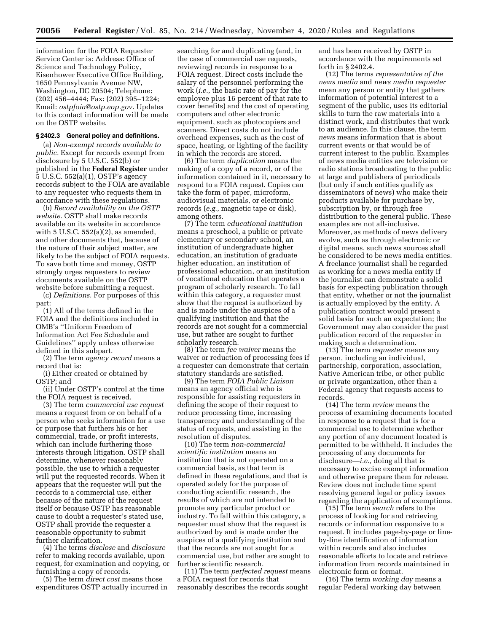information for the FOIA Requester Service Center is: Address: Office of Science and Technology Policy, Eisenhower Executive Office Building, 1650 Pennsylvania Avenue NW, Washington, DC 20504; Telephone: (202) 456–4444; Fax: (202) 395–1224; Email: *[ostpfoia@ostp.eop.gov.](mailto:ostpfoia@ostp.eop.gov)* Updates to this contact information will be made on the OSTP website.

#### **§ 2402.3 General policy and definitions.**

(a) *Non-exempt records available to public.* Except for records exempt from disclosure by 5 U.S.C. 552(b) or published in the **Federal Register** under 5 U.S.C. 552(a)(1), OSTP's agency records subject to the FOIA are available to any requester who requests them in accordance with these regulations.

(b) *Record availability on the OSTP website.* OSTP shall make records available on its website in accordance with  $5$  U.S.C.  $552(a)(2)$ , as amended, and other documents that, because of the nature of their subject matter, are likely to be the subject of FOIA requests. To save both time and money, OSTP strongly urges requesters to review documents available on the OSTP website before submitting a request.

(c) *Definitions.* For purposes of this part:

(1) All of the terms defined in the FOIA and the definitions included in OMB's ''Uniform Freedom of Information Act Fee Schedule and Guidelines'' apply unless otherwise defined in this subpart.

(2) The term *agency record* means a record that is:

(i) Either created or obtained by OSTP; and

(ii) Under OSTP's control at the time the FOIA request is received.

(3) The term *commercial use request*  means a request from or on behalf of a person who seeks information for a use or purpose that furthers his or her commercial, trade, or profit interests, which can include furthering those interests through litigation. OSTP shall determine, whenever reasonably possible, the use to which a requester will put the requested records. When it appears that the requester will put the records to a commercial use, either because of the nature of the request itself or because OSTP has reasonable cause to doubt a requester's stated use, OSTP shall provide the requester a reasonable opportunity to submit further clarification.

(4) The terms *disclose* and *disclosure*  refer to making records available, upon request, for examination and copying, or furnishing a copy of records.

(5) The term *direct cost* means those expenditures OSTP actually incurred in

searching for and duplicating (and, in the case of commercial use requests, reviewing) records in response to a FOIA request. Direct costs include the salary of the personnel performing the work (*i.e.,* the basic rate of pay for the employee plus 16 percent of that rate to cover benefits) and the cost of operating computers and other electronic equipment, such as photocopiers and scanners. Direct costs do not include overhead expenses, such as the cost of space, heating, or lighting of the facility in which the records are stored.

(6) The term *duplication* means the making of a copy of a record, or of the information contained in it, necessary to respond to a FOIA request. Copies can take the form of paper, microform, audiovisual materials, or electronic records (*e.g.,* magnetic tape or disk), among others.

(7) The term *educational institution*  means a preschool, a public or private elementary or secondary school, an institution of undergraduate higher education, an institution of graduate higher education, an institution of professional education, or an institution of vocational education that operates a program of scholarly research. To fall within this category, a requester must show that the request is authorized by and is made under the auspices of a qualifying institution and that the records are not sought for a commercial use, but rather are sought to further scholarly research.

(8) The term *fee waiver* means the waiver or reduction of processing fees if a requester can demonstrate that certain statutory standards are satisfied.

(9) The term *FOIA Public Liaison*  means an agency official who is responsible for assisting requesters in defining the scope of their request to reduce processing time, increasing transparency and understanding of the status of requests, and assisting in the resolution of disputes.

(10) The term *non-commercial scientific institution* means an institution that is not operated on a commercial basis, as that term is defined in these regulations, and that is operated solely for the purpose of conducting scientific research, the results of which are not intended to promote any particular product or industry. To fall within this category, a requester must show that the request is authorized by and is made under the auspices of a qualifying institution and that the records are not sought for a commercial use, but rather are sought to further scientific research.

(11) The term *perfected request* means a FOIA request for records that reasonably describes the records sought

and has been received by OSTP in accordance with the requirements set forth in § 2402.4.

(12) The terms *representative of the news media* and *news media requester*  mean any person or entity that gathers information of potential interest to a segment of the public, uses its editorial skills to turn the raw materials into a distinct work, and distributes that work to an audience. In this clause, the term *news* means information that is about current events or that would be of current interest to the public. Examples of news media entities are television or radio stations broadcasting to the public at large and publishers of periodicals (but only if such entities qualify as disseminators of news) who make their products available for purchase by, subscription by, or through free distribution to the general public. These examples are not all-inclusive. Moreover, as methods of news delivery evolve, such as through electronic or digital means, such news sources shall be considered to be news media entities. A freelance journalist shall be regarded as working for a news media entity if the journalist can demonstrate a solid basis for expecting publication through that entity, whether or not the journalist is actually employed by the entity. A publication contract would present a solid basis for such an expectation; the Government may also consider the past publication record of the requester in making such a determination.

(13) The term *requester* means any person, including an individual, partnership, corporation, association, Native American tribe, or other public or private organization, other than a Federal agency that requests access to records.

(14) The term *review* means the process of examining documents located in response to a request that is for a commercial use to determine whether any portion of any document located is permitted to be withheld. It includes the processing of any documents for disclosure—*i.e.,* doing all that is necessary to excise exempt information and otherwise prepare them for release. Review does not include time spent resolving general legal or policy issues regarding the application of exemptions.

(15) The term *search* refers to the process of looking for and retrieving records or information responsive to a request. It includes page-by-page or lineby-line identification of information within records and also includes reasonable efforts to locate and retrieve information from records maintained in electronic form or format.

(16) The term *working day* means a regular Federal working day between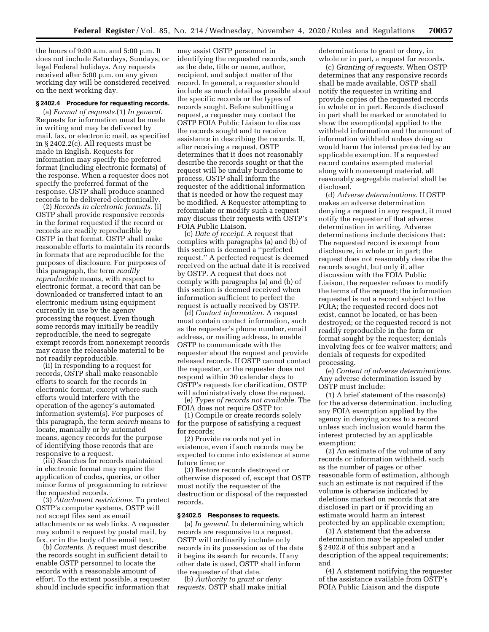the hours of 9:00 a.m. and 5:00 p.m. It does not include Saturdays, Sundays, or legal Federal holidays. Any requests received after 5:00 p.m. on any given working day will be considered received on the next working day.

### **§ 2402.4 Procedure for requesting records.**

(a) *Format of requests.*(1) *In general.*  Requests for information must be made in writing and may be delivered by mail, fax, or electronic mail, as specified in § 2402.2(c). All requests must be made in English. Requests for information may specify the preferred format (including electronic formats) of the response. When a requester does not specify the preferred format of the response, OSTP shall produce scanned records to be delivered electronically.

(2) *Records in electronic formats.* (i) OSTP shall provide responsive records in the format requested if the record or records are readily reproducible by OSTP in that format. OSTP shall make reasonable efforts to maintain its records in formats that are reproducible for the purposes of disclosure. For purposes of this paragraph, the term *readily reproducible* means, with respect to electronic format, a record that can be downloaded or transferred intact to an electronic medium using equipment currently in use by the agency processing the request. Even though some records may initially be readily reproducible, the need to segregate exempt records from nonexempt records may cause the releasable material to be not readily reproducible.

(ii) In responding to a request for records, OSTP shall make reasonable efforts to search for the records in electronic format, except where such efforts would interfere with the operation of the agency's automated information system(s). For purposes of this paragraph, the term *search* means to locate, manually or by automated means, agency records for the purpose of identifying those records that are responsive to a request.

(iii) Searches for records maintained in electronic format may require the application of codes, queries, or other minor forms of programming to retrieve the requested records.

(3) *Attachment restrictions.* To protect OSTP's computer systems, OSTP will not accept files sent as email attachments or as web links. A requester may submit a request by postal mail, by fax, or in the body of the email text.

(b) *Contents.* A request must describe the records sought in sufficient detail to enable OSTP personnel to locate the records with a reasonable amount of effort. To the extent possible, a requester should include specific information that

may assist OSTP personnel in identifying the requested records, such as the date, title or name, author, recipient, and subject matter of the record. In general, a requester should include as much detail as possible about the specific records or the types of records sought. Before submitting a request, a requester may contact the OSTP FOIA Public Liaison to discuss the records sought and to receive assistance in describing the records. If, after receiving a request, OSTP determines that it does not reasonably describe the records sought or that the request will be unduly burdensome to process, OSTP shall inform the requester of the additional information that is needed or how the request may be modified. A Requester attempting to reformulate or modify such a request may discuss their requests with OSTP's FOIA Public Liaison.

(c) *Date of receipt.* A request that complies with paragraphs (a) and (b) of this section is deemed a ''perfected request.'' A perfected request is deemed received on the actual date it is received by OSTP. A request that does not comply with paragraphs (a) and (b) of this section is deemed received when information sufficient to perfect the request is actually received by OSTP.

(d) *Contact information.* A request must contain contact information, such as the requester's phone number, email address, or mailing address, to enable OSTP to communicate with the requester about the request and provide released records. If OSTP cannot contact the requester, or the requester does not respond within 30 calendar days to OSTP's requests for clarification, OSTP will administratively close the request.

(e) *Types of records not available.* The FOIA does not require OSTP to:

(1) Compile or create records solely for the purpose of satisfying a request for records;

(2) Provide records not yet in existence, even if such records may be expected to come into existence at some future time; or

(3) Restore records destroyed or otherwise disposed of, except that OSTP must notify the requester of the destruction or disposal of the requested records.

#### **§ 2402.5 Responses to requests.**

(a) *In general.* In determining which records are responsive to a request, OSTP will ordinarily include only records in its possession as of the date it begins its search for records. If any other date is used, OSTP shall inform the requester of that date.

(b) *Authority to grant or deny requests.* OSTP shall make initial determinations to grant or deny, in whole or in part, a request for records.

(c) *Granting of requests.* When OSTP determines that any responsive records shall be made available, OSTP shall notify the requester in writing and provide copies of the requested records in whole or in part. Records disclosed in part shall be marked or annotated to show the exemption(s) applied to the withheld information and the amount of information withheld unless doing so would harm the interest protected by an applicable exemption. If a requested record contains exempted material along with nonexempt material, all reasonably segregable material shall be disclosed.

(d) *Adverse determinations.* If OSTP makes an adverse determination denying a request in any respect, it must notify the requester of that adverse determination in writing. Adverse determinations include decisions that: The requested record is exempt from disclosure, in whole or in part; the request does not reasonably describe the records sought, but only if, after discussion with the FOIA Public Liaison, the requester refuses to modify the terms of the request; the information requested is not a record subject to the FOIA; the requested record does not exist, cannot be located, or has been destroyed; or the requested record is not readily reproducible in the form or format sought by the requester; denials involving fees or fee waiver matters; and denials of requests for expedited processing.

(e) *Content of adverse determinations.*  Any adverse determination issued by OSTP must include:

(1) A brief statement of the reason(s) for the adverse determination, including any FOIA exemption applied by the agency in denying access to a record unless such inclusion would harm the interest protected by an applicable exemption;

(2) An estimate of the volume of any records or information withheld, such as the number of pages or other reasonable form of estimation, although such an estimate is not required if the volume is otherwise indicated by deletions marked on records that are disclosed in part or if providing an estimate would harm an interest protected by an applicable exemption;

(3) A statement that the adverse determination may be appealed under § 2402.8 of this subpart and a description of the appeal requirements; and

(4) A statement notifying the requester of the assistance available from OSTP's FOIA Public Liaison and the dispute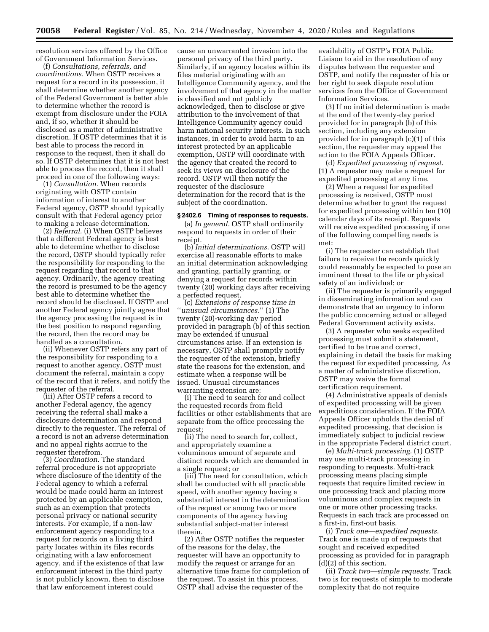resolution services offered by the Office of Government Information Services.

(f) *Consultations, referrals, and coordinations.* When OSTP receives a request for a record in its possession, it shall determine whether another agency of the Federal Government is better able to determine whether the record is exempt from disclosure under the FOIA and, if so, whether it should be disclosed as a matter of administrative discretion. If OSTP determines that it is best able to process the record in response to the request, then it shall do so. If OSTP determines that it is not best able to process the record, then it shall proceed in one of the following ways:

(1) *Consultation.* When records originating with OSTP contain information of interest to another Federal agency, OSTP should typically consult with that Federal agency prior to making a release determination.

(2) *Referral.* (i) When OSTP believes that a different Federal agency is best able to determine whether to disclose the record, OSTP should typically refer the responsibility for responding to the request regarding that record to that agency. Ordinarily, the agency creating the record is presumed to be the agency best able to determine whether the record should be disclosed. If OSTP and another Federal agency jointly agree that the agency processing the request is in the best position to respond regarding the record, then the record may be handled as a consultation.

(ii) Whenever OSTP refers any part of the responsibility for responding to a request to another agency, OSTP must document the referral, maintain a copy of the record that it refers, and notify the requester of the referral.

(iii) After OSTP refers a record to another Federal agency, the agency receiving the referral shall make a disclosure determination and respond directly to the requester. The referral of a record is not an adverse determination and no appeal rights accrue to the requester therefrom.

(3) *Coordination.* The standard referral procedure is not appropriate where disclosure of the identity of the Federal agency to which a referral would be made could harm an interest protected by an applicable exemption, such as an exemption that protects personal privacy or national security interests. For example, if a non-law enforcement agency responding to a request for records on a living third party locates within its files records originating with a law enforcement agency, and if the existence of that law enforcement interest in the third party is not publicly known, then to disclose that law enforcement interest could

cause an unwarranted invasion into the personal privacy of the third party. Similarly, if an agency locates within its files material originating with an Intelligence Community agency, and the involvement of that agency in the matter is classified and not publicly acknowledged, then to disclose or give attribution to the involvement of that Intelligence Community agency could harm national security interests. In such instances, in order to avoid harm to an interest protected by an applicable exemption, OSTP will coordinate with the agency that created the record to seek its views on disclosure of the record. OSTP will then notify the requester of the disclosure determination for the record that is the subject of the coordination.

# **§ 2402.6 Timing of responses to requests.**

(a) *In general.* OSTP shall ordinarily respond to requests in order of their receipt.

(b) *Initial determinations.* OSTP will exercise all reasonable efforts to make an initial determination acknowledging and granting, partially granting, or denying a request for records within twenty (20) working days after receiving a perfected request.

(c) *Extensions of response time in*  ''*unusual circumstances.*'' (1) The twenty (20)-working day period provided in paragraph (b) of this section may be extended if unusual circumstances arise. If an extension is necessary, OSTP shall promptly notify the requester of the extension, briefly state the reasons for the extension, and estimate when a response will be issued. Unusual circumstances warranting extension are:

(i) The need to search for and collect the requested records from field facilities or other establishments that are separate from the office processing the request;

(ii) The need to search for, collect, and appropriately examine a voluminous amount of separate and distinct records which are demanded in a single request; or

(iii) The need for consultation, which shall be conducted with all practicable speed, with another agency having a substantial interest in the determination of the request or among two or more components of the agency having substantial subject-matter interest therein.

(2) After OSTP notifies the requester of the reasons for the delay, the requester will have an opportunity to modify the request or arrange for an alternative time frame for completion of the request. To assist in this process, OSTP shall advise the requester of the

availability of OSTP's FOIA Public Liaison to aid in the resolution of any disputes between the requester and OSTP, and notify the requester of his or her right to seek dispute resolution services from the Office of Government Information Services.

(3) If no initial determination is made at the end of the twenty-day period provided for in paragraph (b) of this section, including any extension provided for in paragraph (c)(1) of this section, the requester may appeal the action to the FOIA Appeals Officer.

(d) *Expedited processing of request.*  (1) A requester may make a request for expedited processing at any time.

(2) When a request for expedited processing is received, OSTP must determine whether to grant the request for expedited processing within ten (10) calendar days of its receipt. Requests will receive expedited processing if one of the following compelling needs is met:

(i) The requester can establish that failure to receive the records quickly could reasonably be expected to pose an imminent threat to the life or physical safety of an individual; or

(ii) The requester is primarily engaged in disseminating information and can demonstrate that an urgency to inform the public concerning actual or alleged Federal Government activity exists.

(3) A requester who seeks expedited processing must submit a statement, certified to be true and correct, explaining in detail the basis for making the request for expedited processing. As a matter of administrative discretion, OSTP may waive the formal certification requirement.

(4) Administrative appeals of denials of expedited processing will be given expeditious consideration. If the FOIA Appeals Officer upholds the denial of expedited processing, that decision is immediately subject to judicial review in the appropriate Federal district court.

(e) *Multi-track processing.* (1) OSTP may use multi-track processing in responding to requests. Multi-track processing means placing simple requests that require limited review in one processing track and placing more voluminous and complex requests in one or more other processing tracks. Requests in each track are processed on a first-in, first-out basis.

(i) *Track one—expedited requests.*  Track one is made up of requests that sought and received expedited processing as provided for in paragraph (d)(2) of this section.

(ii) *Track two—simple requests.* Track two is for requests of simple to moderate complexity that do not require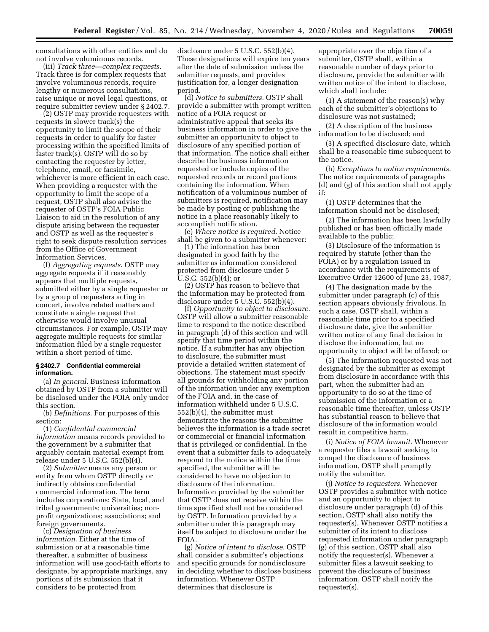consultations with other entities and do not involve voluminous records.

(iii) *Track three—complex requests.*  Track three is for complex requests that involve voluminous records, require lengthy or numerous consultations, raise unique or novel legal questions, or require submitter review under § 2402.7.

(2) OSTP may provide requesters with requests in slower track(s) the opportunity to limit the scope of their requests in order to qualify for faster processing within the specified limits of faster track(s). OSTP will do so by contacting the requester by letter, telephone, email, or facsimile, whichever is more efficient in each case. When providing a requester with the opportunity to limit the scope of a request, OSTP shall also advise the requester of OSTP's FOIA Public Liaison to aid in the resolution of any dispute arising between the requester and OSTP as well as the requester's right to seek dispute resolution services from the Office of Government Information Services.

(f) *Aggregating requests.* OSTP may aggregate requests if it reasonably appears that multiple requests, submitted either by a single requester or by a group of requesters acting in concert, involve related matters and constitute a single request that otherwise would involve unusual circumstances. For example, OSTP may aggregate multiple requests for similar information filed by a single requester within a short period of time.

#### **§ 2402.7 Confidential commercial information.**

(a) *In general.* Business information obtained by OSTP from a submitter will be disclosed under the FOIA only under this section.

(b) *Definitions.* For purposes of this section:

(1) *Confidential commercial information* means records provided to the government by a submitter that arguably contain material exempt from release under 5 U.S.C. 552(b)(4).

(2) *Submitter* means any person or entity from whom OSTP directly or indirectly obtains confidential commercial information. The term includes corporations; State, local, and tribal governments; universities; nonprofit organizations; associations; and foreign governments.

(c) *Designation of business information.* Either at the time of submission or at a reasonable time thereafter, a submitter of business information will use good-faith efforts to designate, by appropriate markings, any portions of its submission that it considers to be protected from

disclosure under 5 U.S.C. 552(b)(4). These designations will expire ten years after the date of submission unless the submitter requests, and provides justification for, a longer designation period.

(d) *Notice to submitters.* OSTP shall provide a submitter with prompt written notice of a FOIA request or administrative appeal that seeks its business information in order to give the submitter an opportunity to object to disclosure of any specified portion of that information. The notice shall either describe the business information requested or include copies of the requested records or record portions containing the information. When notification of a voluminous number of submitters is required, notification may be made by posting or publishing the notice in a place reasonably likely to accomplish notification.

(e) *Where notice is required.* Notice shall be given to a submitter whenever:

(1) The information has been designated in good faith by the submitter as information considered protected from disclosure under 5 U.S.C. 552(b)(4); or

(2) OSTP has reason to believe that the information may be protected from disclosure under  $5 \overline{U}$ .S. $\overline{C}$ .  $552(b)(4)$ .

(f) *Opportunity to object to disclosure.*  OSTP will allow a submitter reasonable time to respond to the notice described in paragraph (d) of this section and will specify that time period within the notice. If a submitter has any objection to disclosure, the submitter must provide a detailed written statement of objections. The statement must specify all grounds for withholding any portion of the information under any exemption of the FOIA and, in the case of information withheld under 5 U.S.C. 552(b)(4), the submitter must demonstrate the reasons the submitter believes the information is a trade secret or commercial or financial information that is privileged or confidential. In the event that a submitter fails to adequately respond to the notice within the time specified, the submitter will be considered to have no objection to disclosure of the information. Information provided by the submitter that OSTP does not receive within the time specified shall not be considered by OSTP. Information provided by a submitter under this paragraph may itself be subject to disclosure under the FOIA.

(g) *Notice of intent to disclose.* OSTP shall consider a submitter's objections and specific grounds for nondisclosure in deciding whether to disclose business information. Whenever OSTP determines that disclosure is

appropriate over the objection of a submitter, OSTP shall, within a reasonable number of days prior to disclosure, provide the submitter with written notice of the intent to disclose, which shall include:

(1) A statement of the reason(s) why each of the submitter's objections to disclosure was not sustained;

(2) A description of the business information to be disclosed; and

(3) A specified disclosure date, which shall be a reasonable time subsequent to the notice.

(h) *Exceptions to notice requirements.*  The notice requirements of paragraphs (d) and (g) of this section shall not apply if:

(1) OSTP determines that the information should not be disclosed;

(2) The information has been lawfully published or has been officially made available to the public;

(3) Disclosure of the information is required by statute (other than the FOIA) or by a regulation issued in accordance with the requirements of Executive Order 12600 of June 23, 1987;

(4) The designation made by the submitter under paragraph (c) of this section appears obviously frivolous. In such a case, OSTP shall, within a reasonable time prior to a specified disclosure date, give the submitter written notice of any final decision to disclose the information, but no opportunity to object will be offered; or

(5) The information requested was not designated by the submitter as exempt from disclosure in accordance with this part, when the submitter had an opportunity to do so at the time of submission of the information or a reasonable time thereafter, unless OSTP has substantial reason to believe that disclosure of the information would result in competitive harm.

(i) *Notice of FOIA lawsuit.* Whenever a requester files a lawsuit seeking to compel the disclosure of business information, OSTP shall promptly notify the submitter.

(j) *Notice to requesters.* Whenever OSTP provides a submitter with notice and an opportunity to object to disclosure under paragraph (d) of this section, OSTP shall also notify the requester(s). Whenever OSTP notifies a submitter of its intent to disclose requested information under paragraph (g) of this section, OSTP shall also notify the requester(s). Whenever a submitter files a lawsuit seeking to prevent the disclosure of business information, OSTP shall notify the requester(s).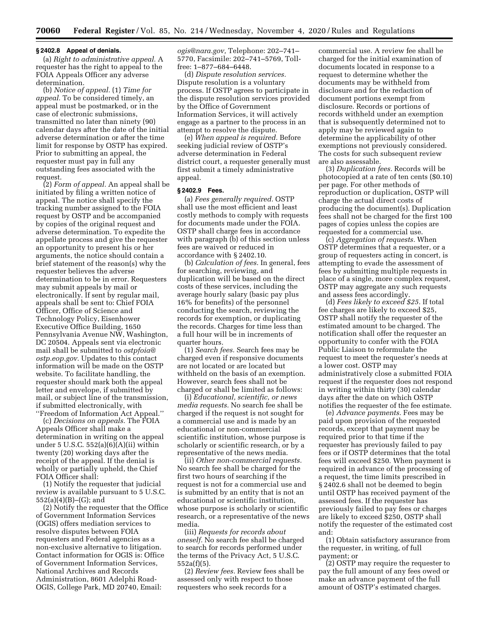#### **§ 2402.8 Appeal of denials.**

(a) *Right to administrative appeal.* A requester has the right to appeal to the FOIA Appeals Officer any adverse determination.

(b) *Notice of appeal.* (1) *Time for appeal.* To be considered timely, an appeal must be postmarked, or in the case of electronic submissions, transmitted no later than ninety (90) calendar days after the date of the initial adverse determination or after the time limit for response by OSTP has expired. Prior to submitting an appeal, the requester must pay in full any outstanding fees associated with the request.

(2) *Form of appeal.* An appeal shall be initiated by filing a written notice of appeal. The notice shall specify the tracking number assigned to the FOIA request by OSTP and be accompanied by copies of the original request and adverse determination. To expedite the appellate process and give the requester an opportunity to present his or her arguments, the notice should contain a brief statement of the reason(s) why the requester believes the adverse determination to be in error. Requesters may submit appeals by mail or electronically. If sent by regular mail, appeals shall be sent to: Chief FOIA Officer, Office of Science and Technology Policy, Eisenhower Executive Office Building, 1650 Pennsylvania Avenue NW, Washington, DC 20504. Appeals sent via electronic mail shall be submitted to *[ostpfoia@](mailto:ostpfoia@ostp.eop.gov) [ostp.eop.gov.](mailto:ostpfoia@ostp.eop.gov)* Updates to this contact information will be made on the OSTP website. To facilitate handling, the requester should mark both the appeal letter and envelope, if submitted by mail, or subject line of the transmission, if submitted electronically, with ''Freedom of Information Act Appeal.''

(c) *Decisions on appeals.* The FOIA Appeals Officer shall make a determination in writing on the appeal under 5 U.S.C.  $552(a)(6)(A)(ii)$  within twenty (20) working days after the receipt of the appeal. If the denial is wholly or partially upheld, the Chief FOIA Officer shall:

(1) Notify the requester that judicial review is available pursuant to 5 U.S.C. 552(a)(4)(B)–(G); and

(2) Notify the requester that the Office of Government Information Services (OGIS) offers mediation services to resolve disputes between FOIA requesters and Federal agencies as a non-exclusive alternative to litigation. Contact information for OGIS is: Office of Government Information Services, National Archives and Records Administration, 8601 Adelphi Road-OGIS, College Park, MD 20740, Email:

*[ogis@nara.gov,](mailto:ogis@nara.gov)* Telephone: 202–741– 5770, Facsimile: 202–741–5769, Tollfree: 1–877–684–6448.

(d) *Dispute resolution services.*  Dispute resolution is a voluntary process. If OSTP agrees to participate in the dispute resolution services provided by the Office of Government Information Services, it will actively engage as a partner to the process in an attempt to resolve the dispute.

(e) *When appeal is required.* Before seeking judicial review of OSTP's adverse determination in Federal district court, a requester generally must first submit a timely administrative appeal.

#### **§ 2402.9 Fees.**

(a) *Fees generally required.* OSTP shall use the most efficient and least costly methods to comply with requests for documents made under the FOIA. OSTP shall charge fees in accordance with paragraph (b) of this section unless fees are waived or reduced in accordance with § 2402.10.

(b) *Calculation of fees.* In general, fees for searching, reviewing, and duplication will be based on the direct costs of these services, including the average hourly salary (basic pay plus 16% for benefits) of the personnel conducting the search, reviewing the records for exemption, or duplicating the records. Charges for time less than a full hour will be in increments of quarter hours.

(1) *Search fees.* Search fees may be charged even if responsive documents are not located or are located but withheld on the basis of an exemption. However, search fees shall not be charged or shall be limited as follows:

(i) *Educational, scientific, or news media requests.* No search fee shall be charged if the request is not sought for a commercial use and is made by an educational or non-commercial scientific institution, whose purpose is scholarly or scientific research, or by a representative of the news media.

(ii) *Other non-commercial requests.*  No search fee shall be charged for the first two hours of searching if the request is not for a commercial use and is submitted by an entity that is not an educational or scientific institution, whose purpose is scholarly or scientific research, or a representative of the news media.

(iii) *Requests for records about oneself.* No search fee shall be charged to search for records performed under the terms of the Privacy Act, 5 U.S.C. 552a(f)(5).

(2) *Review fees.* Review fees shall be assessed only with respect to those requesters who seek records for a

commercial use. A review fee shall be charged for the initial examination of documents located in response to a request to determine whether the documents may be withheld from disclosure and for the redaction of document portions exempt from disclosure. Records or portions of records withheld under an exemption that is subsequently determined not to apply may be reviewed again to determine the applicability of other exemptions not previously considered. The costs for such subsequent review are also assessable.

(3) *Duplication fees.* Records will be photocopied at a rate of ten cents (\$0.10) per page. For other methods of reproduction or duplication, OSTP will charge the actual direct costs of producing the document(s). Duplication fees shall not be charged for the first 100 pages of copies unless the copies are requested for a commercial use.

(c) *Aggregation of requests.* When OSTP determines that a requester, or a group of requesters acting in concert, is attempting to evade the assessment of fees by submitting multiple requests in place of a single, more complex request, OSTP may aggregate any such requests and assess fees accordingly.

(d) *Fees likely to exceed \$25.* If total fee charges are likely to exceed \$25, OSTP shall notify the requester of the estimated amount to be charged. The notification shall offer the requester an opportunity to confer with the FOIA Public Liaison to reformulate the request to meet the requester's needs at a lower cost. OSTP may administratively close a submitted FOIA request if the requester does not respond in writing within thirty (30) calendar days after the date on which OSTP notifies the requester of the fee estimate.

(e) *Advance payments.* Fees may be paid upon provision of the requested records, except that payment may be required prior to that time if the requester has previously failed to pay fees or if OSTP determines that the total fees will exceed \$250. When payment is required in advance of the processing of a request, the time limits prescribed in § 2402.6 shall not be deemed to begin until OSTP has received payment of the assessed fees. If the requester has previously failed to pay fees or charges are likely to exceed \$250, OSTP shall notify the requester of the estimated cost and:

(1) Obtain satisfactory assurance from the requester, in writing, of full payment; or

(2) OSTP may require the requester to pay the full amount of any fees owed or make an advance payment of the full amount of OSTP's estimated charges.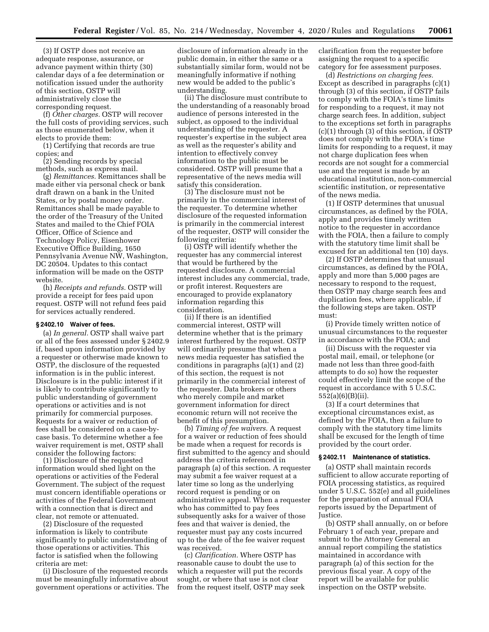(3) If OSTP does not receive an adequate response, assurance, or advance payment within thirty (30) calendar days of a fee determination or notification issued under the authority of this section, OSTP will administratively close the corresponding request.

(f) *Other charges.* OSTP will recover the full costs of providing services, such as those enumerated below, when it elects to provide them:

(1) Certifying that records are true copies; and

(2) Sending records by special methods, such as express mail.

(g) *Remittances.* Remittances shall be made either via personal check or bank draft drawn on a bank in the United States, or by postal money order. Remittances shall be made payable to the order of the Treasury of the United States and mailed to the Chief FOIA Officer, Office of Science and Technology Policy, Eisenhower Executive Office Building, 1650 Pennsylvania Avenue NW, Washington, DC 20504. Updates to this contact information will be made on the OSTP website.

(h) *Receipts and refunds.* OSTP will provide a receipt for fees paid upon request. OSTP will not refund fees paid for services actually rendered.

## **§ 2402.10 Waiver of fees.**

(a) *In general.* OSTP shall waive part or all of the fees assessed under § 2402.9 if, based upon information provided by a requester or otherwise made known to OSTP, the disclosure of the requested information is in the public interest. Disclosure is in the public interest if it is likely to contribute significantly to public understanding of government operations or activities and is not primarily for commercial purposes. Requests for a waiver or reduction of fees shall be considered on a case-bycase basis. To determine whether a fee waiver requirement is met, OSTP shall consider the following factors:

(1) Disclosure of the requested information would shed light on the operations or activities of the Federal Government. The subject of the request must concern identifiable operations or activities of the Federal Government with a connection that is direct and clear, not remote or attenuated.

(2) Disclosure of the requested information is likely to contribute significantly to public understanding of those operations or activities. This factor is satisfied when the following criteria are met:

(i) Disclosure of the requested records must be meaningfully informative about government operations or activities. The

disclosure of information already in the public domain, in either the same or a substantially similar form, would not be meaningfully informative if nothing new would be added to the public's understanding.

(ii) The disclosure must contribute to the understanding of a reasonably broad audience of persons interested in the subject, as opposed to the individual understanding of the requester. A requester's expertise in the subject area as well as the requester's ability and intention to effectively convey information to the public must be considered. OSTP will presume that a representative of the news media will satisfy this consideration.

(3) The disclosure must not be primarily in the commercial interest of the requester. To determine whether disclosure of the requested information is primarily in the commercial interest of the requester, OSTP will consider the following criteria:

(i) OSTP will identify whether the requester has any commercial interest that would be furthered by the requested disclosure. A commercial interest includes any commercial, trade, or profit interest. Requesters are encouraged to provide explanatory information regarding this consideration.

(ii) If there is an identified commercial interest, OSTP will determine whether that is the primary interest furthered by the request. OSTP will ordinarily presume that when a news media requester has satisfied the conditions in paragraphs (a)(1) and (2) of this section, the request is not primarily in the commercial interest of the requester. Data brokers or others who merely compile and market government information for direct economic return will not receive the benefit of this presumption.

(b) *Timing of fee waivers.* A request for a waiver or reduction of fees should be made when a request for records is first submitted to the agency and should address the criteria referenced in paragraph (a) of this section. A requester may submit a fee waiver request at a later time so long as the underlying record request is pending or on administrative appeal. When a requester who has committed to pay fees subsequently asks for a waiver of those fees and that waiver is denied, the requester must pay any costs incurred up to the date of the fee waiver request was received.

(c) *Clarification.* Where OSTP has reasonable cause to doubt the use to which a requester will put the records sought, or where that use is not clear from the request itself, OSTP may seek clarification from the requester before assigning the request to a specific category for fee assessment purposes.

(d) *Restrictions on charging fees.*  Except as described in paragraphs (c)(1) through (3) of this section, if OSTP fails to comply with the FOIA's time limits for responding to a request, it may not charge search fees. In addition, subject to the exceptions set forth in paragraphs (c)(1) through (3) of this section, if OSTP does not comply with the FOIA's time limits for responding to a request, it may not charge duplication fees when records are not sought for a commercial use and the request is made by an educational institution, non-commercial scientific institution, or representative of the news media.

(1) If OSTP determines that unusual circumstances, as defined by the FOIA, apply and provides timely written notice to the requester in accordance with the FOIA, then a failure to comply with the statutory time limit shall be excused for an additional ten (10) days.

(2) If OSTP determines that unusual circumstances, as defined by the FOIA, apply and more than 5,000 pages are necessary to respond to the request, then OSTP may charge search fees and duplication fees, where applicable, if the following steps are taken. OSTP must:

(i) Provide timely written notice of unusual circumstances to the requester in accordance with the FOIA; and

(ii) Discuss with the requester via postal mail, email, or telephone (or made not less than three good-faith attempts to do so) how the requester could effectively limit the scope of the request in accordance with 5 U.S.C. 552(a)(6)(B)(ii).

(3) If a court determines that exceptional circumstances exist, as defined by the FOIA, then a failure to comply with the statutory time limits shall be excused for the length of time provided by the court order.

#### **§ 2402.11 Maintenance of statistics.**

(a) OSTP shall maintain records sufficient to allow accurate reporting of FOIA processing statistics, as required under 5 U.S.C. 552(e) and all guidelines for the preparation of annual FOIA reports issued by the Department of Justice.

(b) OSTP shall annually, on or before February 1 of each year, prepare and submit to the Attorney General an annual report compiling the statistics maintained in accordance with paragraph (a) of this section for the previous fiscal year. A copy of the report will be available for public inspection on the OSTP website.